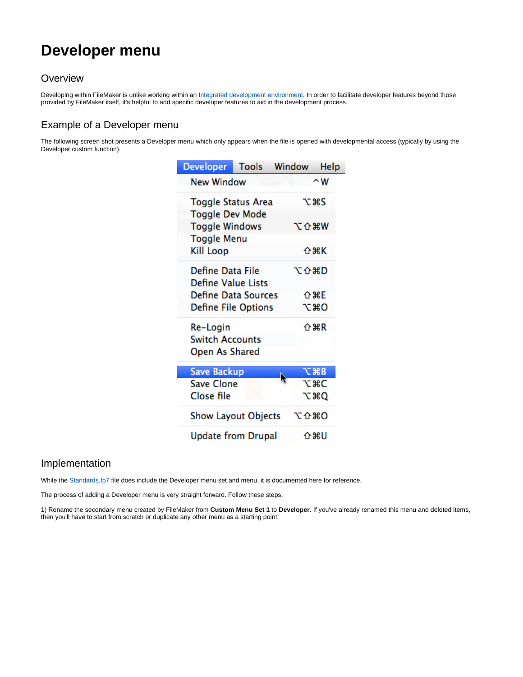# **Developer menu**

### **Overview**

Developing within FileMaker is unlike working within an [Integrated development environment.](http://en.wikipedia.org/wiki/Integrated_development_environment) In order to facilitate developer features beyond those provided by FileMaker itself, it's helpful to add specific developer features to aid in the development process.

## Example of a Developer menu

The following screen shot presents a Developer menu which only appears when the file is opened with developmental access (typically by using the Developer custom function).

| <b>Developer</b>           | <b>Tools</b> | Window | Help        |
|----------------------------|--------------|--------|-------------|
| <b>New Window</b>          |              |        | $\sim w$    |
| Toggle Status Area         |              |        | てまS         |
| <b>Toggle Dev Mode</b>     |              |        |             |
| <b>Toggle Windows</b>      | てなまめ         |        |             |
| <b>Toggle Menu</b>         |              |        |             |
| <b>Kill Loop</b>           |              |        | 企業K         |
| Define Data File           |              | 飞仚第D   |             |
| <b>Define Value Lists</b>  |              |        |             |
| <b>Define Data Sources</b> |              |        | 企業E         |
| <b>Define File Options</b> |              |        | てまひ         |
| Re-Login                   |              |        | <b>介出R</b>  |
| <b>Switch Accounts</b>     |              |        |             |
| Open As Shared             |              |        |             |
| <b>Save Backup</b>         |              |        | <b>て 第B</b> |
| <b>Save Clone</b>          |              |        | <b>T</b> #C |
| Close file                 |              |        | <b>V#C</b>  |
| <b>Show Layout Objects</b> |              | 7. ひまり |             |
| <b>Update from Drupal</b>  |              |        | 介出り         |

#### Implementation

While the [Standards.fp7](https://filemakerstandards.org/display/bp/Standards.fp7) file does include the Developer menu set and menu, it is documented here for reference.

The process of adding a Developer menu is very straight forward. Follow these steps.

1) Rename the secondary menu created by FileMaker from **Custom Menu Set 1** to **Developer**. If you've already renamed this menu and deleted items, then you'll have to start from scratch or duplicate any other menu as a starting point.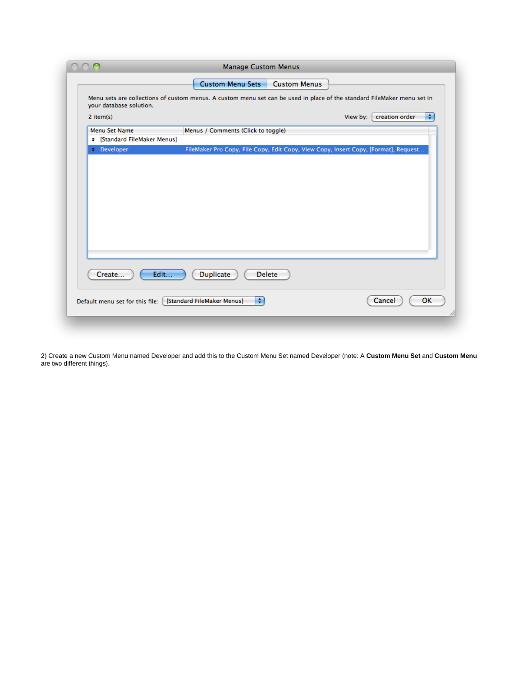|                                        | <b>Manage Custom Menus</b>                                                                                              |                                 |
|----------------------------------------|-------------------------------------------------------------------------------------------------------------------------|---------------------------------|
|                                        | <b>Custom Menu Sets</b><br><b>Custom Menus</b>                                                                          |                                 |
| your database solution.<br>$2$ item(s) | Menu sets are collections of custom menus. A custom menu set can be used in place of the standard FileMaker menu set in | ÷<br>creation order<br>View by: |
|                                        |                                                                                                                         |                                 |
| Menu Set Name                          | Menus / Comments (Click to toggle)                                                                                      |                                 |
| + [Standard FileMaker Menus]           |                                                                                                                         |                                 |
| <b>+</b> Developer                     | FileMaker Pro Copy, File Copy, Edit Copy, View Copy, Insert Copy, [Format], Request                                     |                                 |
|                                        |                                                                                                                         |                                 |
|                                        |                                                                                                                         |                                 |
| Create                                 | Edit<br><b>Duplicate</b><br><b>Delete</b>                                                                               |                                 |

2) Create a new Custom Menu named Developer and add this to the Custom Menu Set named Developer (note: A **Custom Menu Set** and **Custom Menu** are two different things).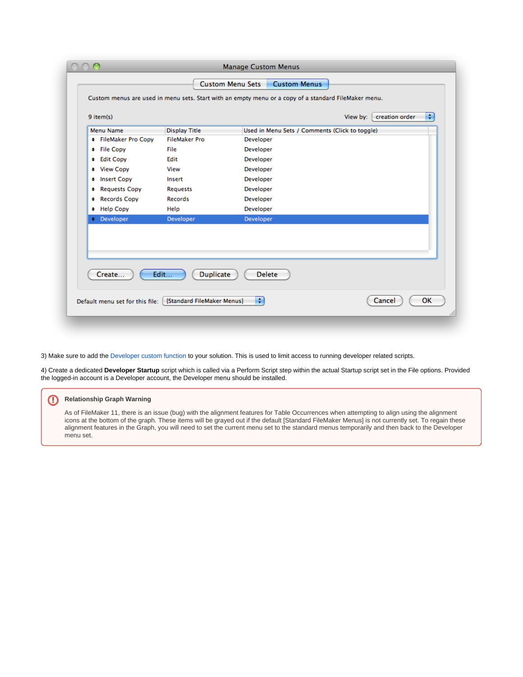| <b>Menu Name</b>                | <b>Display Title</b>                                                                     | Used in Menu Sets / Comments (Click to toggle) |              |
|---------------------------------|------------------------------------------------------------------------------------------|------------------------------------------------|--------------|
| <b>+ FileMaker Pro Copy</b>     | <b>FileMaker Pro</b>                                                                     | Developer                                      |              |
| + File Copy                     | File                                                                                     | Developer                                      |              |
| + Edit Copy                     | Edit                                                                                     | Developer                                      |              |
| + View Copy                     | View                                                                                     | Developer                                      |              |
| <b>Insert Copy</b><br>٠.        | Insert                                                                                   | Developer                                      |              |
| <b>Requests Copy</b><br>٠.      | <b>Requests</b>                                                                          | Developer                                      |              |
| <b>Records Copy</b><br><b>≄</b> | Records                                                                                  | Developer                                      |              |
| + Help Copy                     | Help                                                                                     | Developer                                      |              |
| <b>+ Developer</b>              | Developer                                                                                | Developer                                      |              |
| Create                          | Edit<br><b>Duplicate</b><br>Default menu set for this file: [ [Standard FileMaker Menus] | <b>Delete</b><br>÷                             | OK<br>Cancel |

3) Make sure to add the [Developer custom function](https://github.com/filemakerstandards/fmpstandards/blob/master/Functions/Developer.fmfn) to your solution. This is used to limit access to running developer related scripts.

4) Create a dedicated **Developer Startup** script which is called via a Perform Script step within the actual Startup script set in the File options. Provided the logged-in account is a Developer account, the Developer menu should be installed.

#### **Relationship Graph Warning**

As of FileMaker 11, there is an issue (bug) with the alignment features for Table Occurrences when attempting to align using the alignment icons at the bottom of the graph. These items will be grayed out if the default [Standard FileMaker Menus] is not currently set. To regain these alignment features in the Graph, you will need to set the current menu set to the standard menus temporarily and then back to the Developer menu set.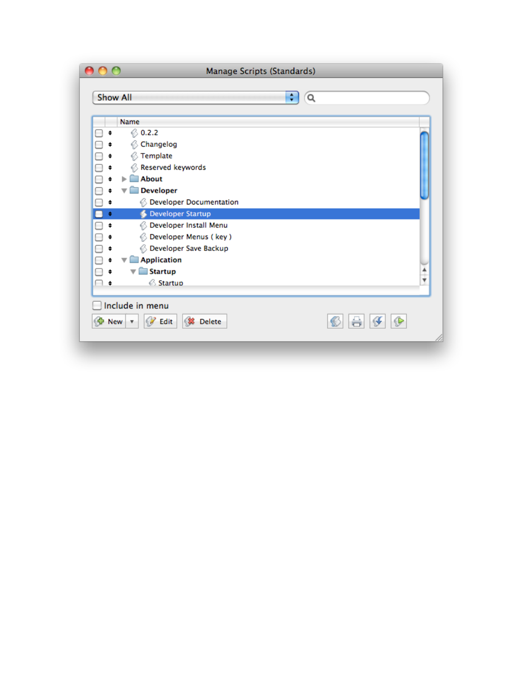| Manage Scripts (Standards)                                      |                      |
|-----------------------------------------------------------------|----------------------|
| <b>Show All</b><br>÷<br>Q                                       |                      |
| Name                                                            |                      |
| 60.2.2<br>\$<br>⊟                                               |                      |
| Changelog<br>¢                                                  |                      |
| <b>◯ Template</b><br>\$                                         |                      |
| └ Reserved keywords<br>\$                                       |                      |
| About<br>ь<br>\$                                                |                      |
| <b>Developer</b><br>\$                                          |                      |
| <b>6</b> Developer Documentation<br>\$                          |                      |
| <b>Developer Startup</b><br>$\clubsuit$<br>-                    |                      |
| <b>B</b> Developer Install Menu<br>\$<br>⊟                      |                      |
| Developer Menus (key)<br>¢.<br>65                               |                      |
| <b>Backup</b> Developer Save Backup<br>\$                       |                      |
| <b>Application</b><br>\$<br>$\overline{\mathbf{v}}$             |                      |
| <b>Startup</b><br>\$<br>▼                                       | $\frac{1}{\sqrt{2}}$ |
| <b>Startup</b><br>∩ ∗                                           |                      |
| Include in menu<br><b>B</b> Edit<br><b>S</b> Delete<br>SP New ▼ | ÷                    |
|                                                                 |                      |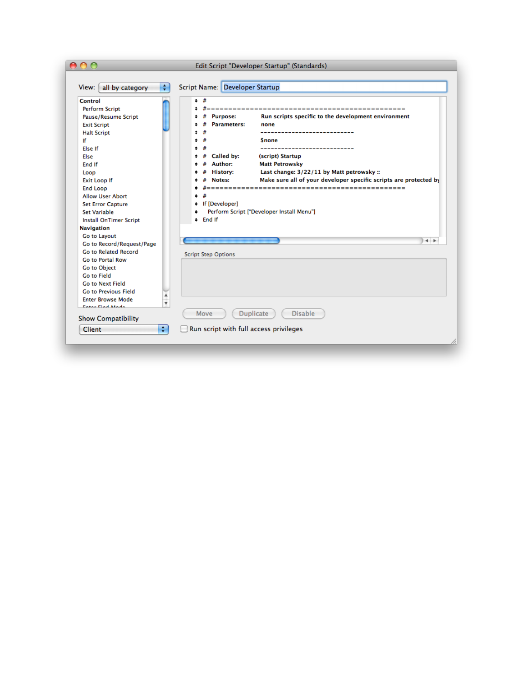| ٠<br>all by category<br>View:                                                                                                                                                                                                                                                                                                                                                                                                                                                                                              | Script Name: Developer Startup                                                                                                                                                                                                                                                                                                                                                                                                                                                                                                                                   |
|----------------------------------------------------------------------------------------------------------------------------------------------------------------------------------------------------------------------------------------------------------------------------------------------------------------------------------------------------------------------------------------------------------------------------------------------------------------------------------------------------------------------------|------------------------------------------------------------------------------------------------------------------------------------------------------------------------------------------------------------------------------------------------------------------------------------------------------------------------------------------------------------------------------------------------------------------------------------------------------------------------------------------------------------------------------------------------------------------|
| Control<br><b>Perform Script</b><br>Pause/Resume Script<br><b>Exit Script</b><br><b>Halt Script</b><br>If<br><b>Else If</b><br>Else<br>End If<br>Loop<br><b>Exit Loop If</b><br>End Loop<br><b>Allow User Abort</b><br><b>Set Error Capture</b><br><b>Set Variable</b><br><b>Install OnTimer Script</b><br>Navigation<br>Go to Layout<br>Go to Record/Request/Page<br><b>Go to Related Record</b><br><b>Go to Portal Row</b><br>Go to Object<br><b>Go to Field</b><br>Go to Next Field<br><b>Go to Previous Field</b><br>▲ | <b>*</b><br>----------------------<br>Run scripts specific to the development environment<br><b>Purpose:</b><br><b>Parameters:</b><br>none<br><b>Snone</b><br>______________________<br>Called by:<br>(script) Startup<br>Author:<br><b>Matt Petrowsky</b><br>Last change: 3/22/11 by Matt petrowsky ::<br><b>History:</b><br>Make sure all of your developer specific scripts are protected by<br>Notes:<br>#<br>$\bullet$<br># If [Developer]<br>Perform Script ["Developer Install Menu"]<br><b>≄</b><br>$\div$ End If<br>$+ +$<br><b>Script Step Options</b> |
| <b>Enter Browse Mode</b><br>¥<br>Enter Find Mode<br><b>Show Compatibility</b>                                                                                                                                                                                                                                                                                                                                                                                                                                              | <b>Duplicate</b><br><b>Disable</b><br>Move                                                                                                                                                                                                                                                                                                                                                                                                                                                                                                                       |
| $\div$<br>Client                                                                                                                                                                                                                                                                                                                                                                                                                                                                                                           | Run script with full access privileges                                                                                                                                                                                                                                                                                                                                                                                                                                                                                                                           |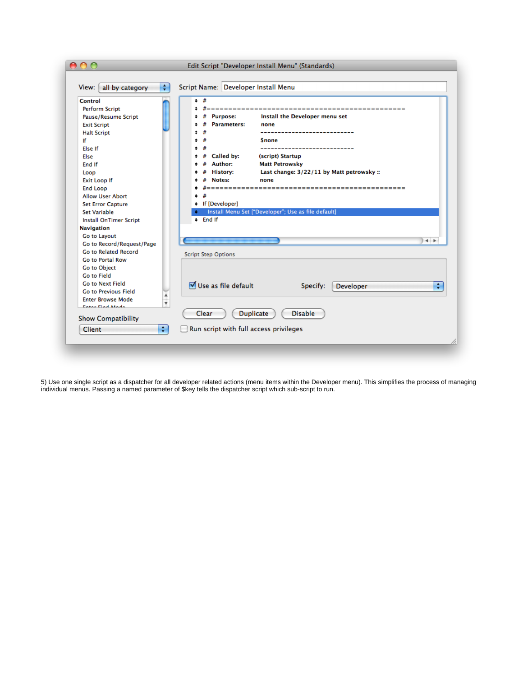| ÷<br>View: all by category       | Script Name: Developer Install Menu                          |
|----------------------------------|--------------------------------------------------------------|
| Control<br><b>Perform Script</b> | <b>*</b><br>#===============<br>-------------------------    |
| Pause/Resume Script              | Install the Developer menu set<br><b>Purpose:</b><br>#       |
| <b>Exit Script</b>               | <b>Parameters:</b><br>none                                   |
|                                  | --------------------                                         |
| <b>Halt Script</b><br>١f         | <b>Snone</b>                                                 |
| <b>Fise If</b>                   | --------------------                                         |
|                                  |                                                              |
| Else                             | Called by:<br>(script) Startup<br>Author:                    |
| End If                           | <b>Matt Petrowsky</b>                                        |
| Loop                             | Last change: 3/22/11 by Matt petrowsky ::<br><b>History:</b> |
| <b>Exit Loop If</b>              | Notes:<br>none                                               |
| <b>End Loop</b>                  |                                                              |
| <b>Allow User Abort</b>          | ÷.                                                           |
| <b>Set Error Capture</b>         | # If [Developer]                                             |
| <b>Set Variable</b>              | Install Menu Set ["Developer"; Use as file default]          |
| <b>Install OnTimer Script</b>    | $\pm$ End If                                                 |
| Navigation                       |                                                              |
| Go to Layout                     | $+ +$                                                        |
| Go to Record/Request/Page        |                                                              |
| Go to Related Record             | <b>Script Step Options</b>                                   |
| Go to Portal Row                 |                                                              |
| Go to Object                     |                                                              |
| <b>Go to Field</b>               |                                                              |
| <b>Go to Next Field</b>          | ■ Use as file default<br>÷<br>Specify:<br><b>Developer</b>   |
| Go to Previous Field             |                                                              |
| <b>Enter Browse Mode</b><br>÷    |                                                              |
| Enter Find Mode                  |                                                              |
| <b>Show Compatibility</b>        | <b>Duplicate</b><br><b>Disable</b><br>Clear                  |
| ÷<br>Client                      | Run script with full access privileges                       |

5) Use one single script as a dispatcher for all developer related actions (menu items within the Developer menu). This simplifies the process of managing individual menus. Passing a named parameter of \$key tells the dispatcher script which sub-script to run.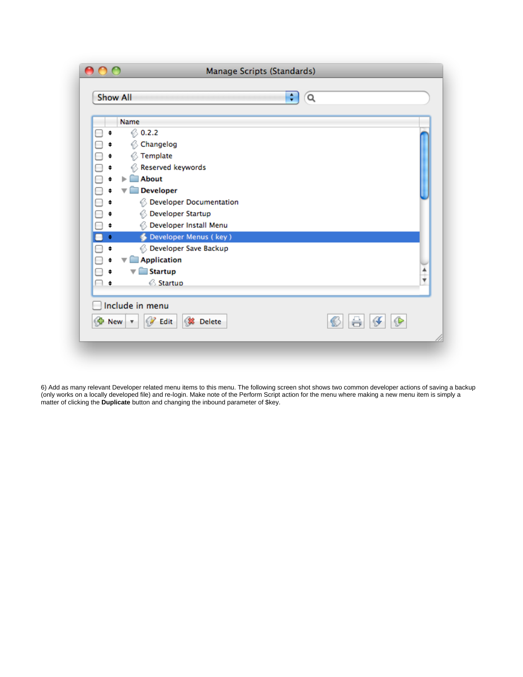| Manage Scripts (Standards)               |                                     |   |
|------------------------------------------|-------------------------------------|---|
| <b>Show All</b>                          | ÷<br>Q                              |   |
| Name                                     |                                     |   |
| 60.2.2<br>□<br>\$                        |                                     |   |
| 6<br>\$                                  | Changelog                           |   |
| Ø,<br>\$                                 | Template                            |   |
| Ø,<br>\$                                 | Reserved keywords                   |   |
| <b>About</b><br>\$                       |                                     |   |
| $\overline{\mathbf{v}}$                  | <b>Developer</b>                    |   |
| ⇟.                                       | <b>B</b> Developer Documentation    |   |
| ‡                                        | <b>B</b> Developer Startup          |   |
| 65<br>\$                                 | Developer Install Menu              |   |
| ¢.                                       | Developer Menus (key)               |   |
| \$                                       | <b>Backup</b> Developer Save Backup |   |
| \$                                       | <b>Application</b>                  |   |
| \$                                       | <b>Startup</b>                      |   |
| ŧ                                        | <b>Startup</b>                      | ▼ |
| Include in menu                          |                                     |   |
| $\bigoplus$ New $\vert \mathbf{v} \vert$ | <b>B</b> Edit<br><b>S</b> Delete    | ℐ |
|                                          |                                     |   |
|                                          |                                     |   |

6) Add as many relevant Developer related menu items to this menu. The following screen shot shows two common developer actions of saving a backup (only works on a locally developed file) and re-login. Make note of the Perform Script action for the menu where making a new menu item is simply a matter of clicking the **Duplicate** button and changing the inbound parameter of \$key.